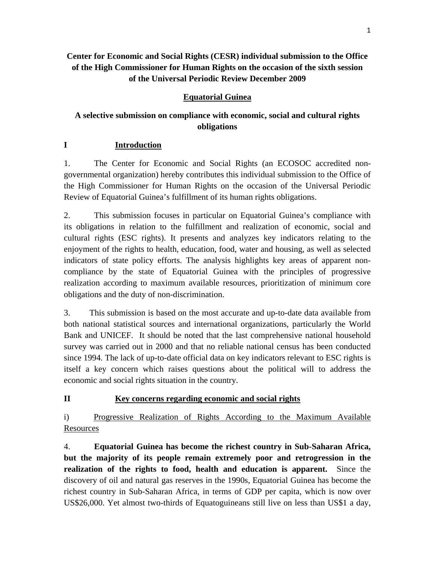# **Center for Economic and Social Rights (CESR) individual submission to the Office of the High Commissioner for Human Rights on the occasion of the sixth session of the Universal Periodic Review December 2009**

# **Equatorial Guinea**

# **A selective submission on compliance with economic, social and cultural rights obligations**

## **I Introduction**

1. The Center for Economic and Social Rights (an ECOSOC accredited nongovernmental organization) hereby contributes this individual submission to the Office of the High Commissioner for Human Rights on the occasion of the Universal Periodic Review of Equatorial Guinea's fulfillment of its human rights obligations.

2. This submission focuses in particular on Equatorial Guinea's compliance with its obligations in relation to the fulfillment and realization of economic, social and cultural rights (ESC rights). It presents and analyzes key indicators relating to the enjoyment of the rights to health, education, food, water and housing, as well as selected indicators of state policy efforts. The analysis highlights key areas of apparent noncompliance by the state of Equatorial Guinea with the principles of progressive realization according to maximum available resources, prioritization of minimum core obligations and the duty of non-discrimination.

3. This submission is based on the most accurate and up-to-date data available from both national statistical sources and international organizations, particularly the World Bank and UNICEF. It should be noted that the last comprehensive national household survey was carried out in 2000 and that no reliable national census has been conducted since 1994. The lack of up-to-date official data on key indicators relevant to ESC rights is itself a key concern which raises questions about the political will to address the economic and social rights situation in the country.

## **II Key concerns regarding economic and social rights**

i) Progressive Realization of Rights According to the Maximum Available Resources

4. **Equatorial Guinea has become the richest country in Sub-Saharan Africa, but the majority of its people remain extremely poor and retrogression in the realization of the rights to food, health and education is apparent.** Since the discovery of oil and natural gas reserves in the 1990s, Equatorial Guinea has become the richest country in Sub-Saharan Africa, in terms of GDP per capita, which is now over US\$26,000. Yet almost two-thirds of Equatoguineans still live on less than US\$1 a day,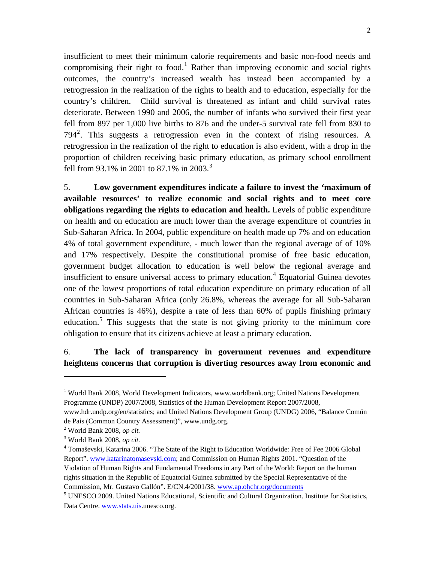insufficient to meet their minimum calorie requirements and basic non-food needs and compromising their right to food.<sup>[1](#page-1-0)</sup> Rather than improving economic and social rights outcomes, the country's increased wealth has instead been accompanied by a retrogression in the realization of the rights to health and to education, especially for the country's children. Child survival is threatened as infant and child survival rates deteriorate. Between 1990 and 2006, the number of infants who survived their first year fell from 897 per 1,000 live births to 876 and the under-5 survival rate fell from 830 to 794<sup>[2](#page-1-1)</sup>. This suggests a retrogression even in the context of rising resources. A retrogression in the realization of the right to education is also evident, with a drop in the proportion of children receiving basic primary education, as primary school enrollment fell from 9[3](#page-1-2).1% in 2001 to 87.1% in 2003.<sup>3</sup>

5. **Low government expenditures indicate a failure to invest the 'maximum of available resources' to realize economic and social rights and to meet core obligations regarding the rights to education and health.** Levels of public expenditure on health and on education are much lower than the average expenditure of countries in Sub-Saharan Africa. In 2004, public expenditure on health made up 7% and on education 4% of total government expenditure, - much lower than the regional average of of 10% and 17% respectively. Despite the constitutional promise of free basic education, government budget allocation to education is well below the regional average and insufficient to ensure universal access to primary education.<sup>[4](#page-1-3)</sup> Equatorial Guinea devotes one of the lowest proportions of total education expenditure on primary education of all countries in Sub-Saharan Africa (only 26.8%, whereas the average for all Sub-Saharan African countries is 46%), despite a rate of less than 60% of pupils finishing primary education.<sup>[5](#page-1-4)</sup> This suggests that the state is not giving priority to the minimum core obligation to ensure that its citizens achieve at least a primary education.

## 6. **The lack of transparency in government revenues and expenditure heightens concerns that corruption is diverting resources away from economic and**

<span id="page-1-0"></span><sup>&</sup>lt;sup>1</sup> World Bank 2008, World Development Indicators, www.worldbank.org; United Nations Development Programme (UNDP) 2007/2008, Statistics of the Human Development Report 2007/2008,

www.hdr.undp.org/en/statistics; and United Nations Development Group (UNDG) 2006, "Balance Común de Pais (Common Country Assessment)", www.undg.org.

<span id="page-1-1"></span><sup>2</sup> World Bank 2008, *op cit.*

<span id="page-1-2"></span><sup>3</sup> World Bank 2008, *op cit.*

<span id="page-1-3"></span><sup>&</sup>lt;sup>4</sup> Tomaševski, Katarina 2006. "The State of the Right to Education Worldwide: Free of Fee 2006 Global Report". [www.katarinatomasevski.com;](http://www.katarinatomasevski.com/) and Commission on Human Rights 2001. "Question of the Violation of Human Rights and Fundamental Freedoms in any Part of the World: Report on the human rights situation in the Republic of Equatorial Guinea submitted by the Special Representative of the Commission, Mr. Gustavo Gallón". E/CN.4/2001/38. [www.ap.ohchr.org/documents](http://www.ap.ohchr.org/documents) 5

<span id="page-1-4"></span> $<sup>5</sup>$  UNESCO 2009. United Nations Educational, Scientific and Cultural Organization. Institute for Statistics,</sup> Data Centre. [www.stats.uis](http://www.stats.uis/).unesco.org.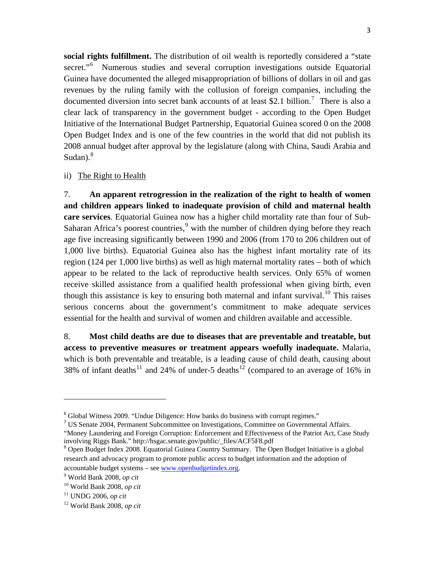**social rights fulfillment.** The distribution of oil wealth is reportedly considered a "state secret."<sup>[6](#page-2-0)</sup> Numerous studies and several corruption investigations outside Equatorial Guinea have documented the alleged misappropriation of billions of dollars in oil and gas revenues by the ruling family with the collusion of foreign companies, including the documented diversion into secret bank accounts of at least \$2.1 billion.<sup>[7](#page-2-1)</sup> There is also a clear lack of transparency in the government budget - according to the Open Budget Initiative of the International Budget Partnership, Equatorial Guinea scored 0 on the 2008 Open Budget Index and is one of the few countries in the world that did not publish its 2008 annual budget after approval by the legislature (along with China, Saudi Arabia and Sudan). $8$ 

### ii) The Right to Health

7. **An apparent retrogression in the realization of the right to health of women and children appears linked to inadequate provision of child and maternal health care services**. Equatorial Guinea now has a higher child mortality rate than four of Sub-Saharan Africa's poorest countries, $9$  with the number of children dying before they reach age five increasing significantly between 1990 and 2006 (from 170 to 206 children out of 1,000 live births). Equatorial Guinea also has the highest infant mortality rate of its region (124 per 1,000 live births) as well as high maternal mortality rates – both of which appear to be related to the lack of reproductive health services. Only 65% of women receive skilled assistance from a qualified health professional when giving birth, even though this assistance is key to ensuring both maternal and infant survival.<sup>[10](#page-2-4)</sup> This raises serious concerns about the government's commitment to make adequate services essential for the health and survival of women and children available and accessible.

8. **Most child deaths are due to diseases that are preventable and treatable, but access to preventive measures or treatment appears woefully inadequate.** Malaria, which is both preventable and treatable, is a leading cause of child death, causing about 38% of infant deaths<sup>[11](#page-2-5)</sup> and 24% of under-5 deaths<sup>[12](#page-2-6)</sup> (compared to an average of 16% in

<span id="page-2-0"></span><sup>&</sup>lt;sup>6</sup> Global Witness 2009. "Undue Diligence: How banks do business with corrupt regimes."

<span id="page-2-1"></span><sup>&</sup>lt;sup>7</sup> US Senate 2004, Permanent Subcommittee on Investigations, Committee on Governmental Affairs. "Money Laundering and Foreign Corruption: Enforcement and Effectiveness of the Patriot Act, Case Study involving Riggs Bank." [http://hsgac.senate.gov/public/\\_files/ACF5F8.pdf](http://hsgac.senate.gov/public/_files/ACF5F8.pdf) <sup>8</sup>

<span id="page-2-2"></span><sup>&</sup>lt;sup>8</sup> Open Budget Index 2008. Equatorial Guinea Country Summary. The Open Budget Initiative is a global research and advocacy program to promote public access to budget information and the adoption of accountable budget systems – see [www.openbudgetindex.org.](http://www.openbudgetindex.org/)

<span id="page-2-3"></span>World Bank 2008, *op cit*

<span id="page-2-4"></span><sup>10</sup> World Bank 2008, *op cit*

<span id="page-2-5"></span><sup>11</sup> UNDG 2006, *op cit*

<span id="page-2-6"></span><sup>12</sup> World Bank 2008, *op cit*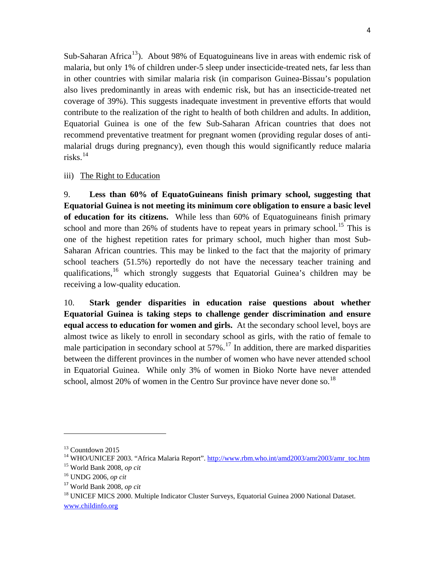Sub-Saharan Africa<sup>[13](#page-3-0)</sup>). About 98% of Equatoguineans live in areas with endemic risk of malaria, but only 1% of children under-5 sleep under insecticide-treated nets, far less than in other countries with similar malaria risk (in comparison Guinea-Bissau's population also lives predominantly in areas with endemic risk, but has an insecticide-treated net coverage of 39%). This suggests inadequate investment in preventive efforts that would contribute to the realization of the right to health of both children and adults. In addition, Equatorial Guinea is one of the few Sub-Saharan African countries that does not recommend preventative treatment for pregnant women (providing regular doses of antimalarial drugs during pregnancy), even though this would significantly reduce malaria risks. $14$ 

### iii) The Right to Education

9. **Less than 60% of EquatoGuineans finish primary school, suggesting that Equatorial Guinea is not meeting its minimum core obligation to ensure a basic level of education for its citizens.** While less than 60% of Equatoguineans finish primary school and more than  $26\%$  of students have to repeat years in primary school.<sup>[15](#page-3-2)</sup> This is one of the highest repetition rates for primary school, much higher than most Sub-Saharan African countries. This may be linked to the fact that the majority of primary school teachers (51.5%) reportedly do not have the necessary teacher training and qualifications, <sup>[16](#page-3-3)</sup> which strongly suggests that Equatorial Guinea's children may be receiving a low-quality education.

10. **Stark gender disparities in education raise questions about whether Equatorial Guinea is taking steps to challenge gender discrimination and ensure equal access to education for women and girls.** At the secondary school level, boys are almost twice as likely to enroll in secondary school as girls, with the ratio of female to male participation in secondary school at  $57\%$ .<sup>[17](#page-3-4)</sup> In addition, there are marked disparities between the different provinces in the number of women who have never attended school in Equatorial Guinea. While only 3% of women in Bioko Norte have never attended school, almost 20% of women in the Centro Sur province have never done so.<sup>[18](#page-3-5)</sup>

<span id="page-3-0"></span><sup>&</sup>lt;sup>13</sup> Countdown 2015

<span id="page-3-1"></span><sup>&</sup>lt;sup>14</sup> WHO/UNICEF 2003. "Africa Malaria Report". [http://www.rbm.who.int/amd2003/amr2003/amr\\_toc.htm](http://www.rbm.who.int/amd2003/amr2003/amr_toc.htm)

<span id="page-3-2"></span><sup>15</sup> World Bank 2008, *op cit*

<span id="page-3-3"></span><sup>16</sup> UNDG 2006, *op cit*

<span id="page-3-4"></span><sup>17</sup> World Bank 2008, *op cit*

<span id="page-3-5"></span><sup>&</sup>lt;sup>18</sup> UNICEF MICS 2000. Multiple Indicator Cluster Surveys, Equatorial Guinea 2000 National Dataset. [www.childinfo.org](http://www.childinfo.org/)